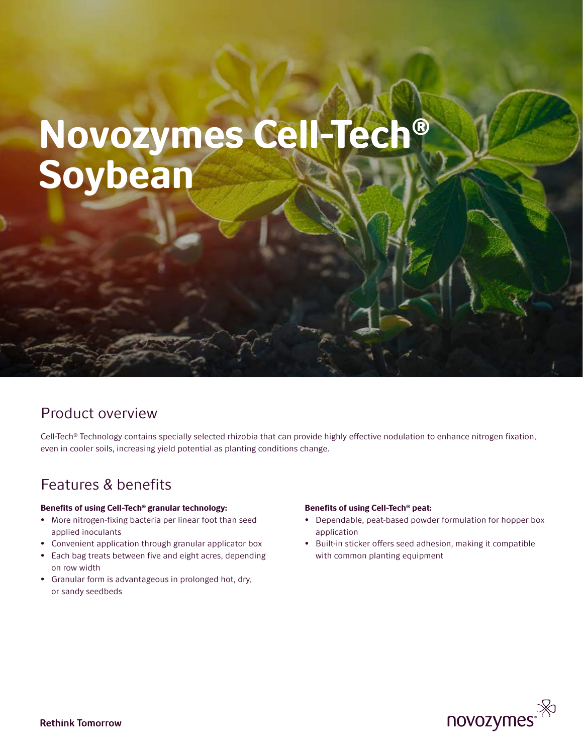# Novozymes Cell-Tech® Soybean

## Product overview

Cell-Tech® Technology contains specially selected rhizobia that can provide highly effective nodulation to enhance nitrogen fixation, even in cooler soils, increasing yield potential as planting conditions change.

## Features & benefits

## Benefits of using Cell-Tech® granular technology:

- More nitrogen-fixing bacteria per linear foot than seed applied inoculants
- Convenient application through granular applicator box
- Each bag treats between five and eight acres, depending on row width
- Granular form is advantageous in prolonged hot, dry, or sandy seedbeds

### Benefits of using Cell-Tech® peat:

- Dependable, peat-based powder formulation for hopper box application
- Built-in sticker offers seed adhesion, making it compatible with common planting equipment